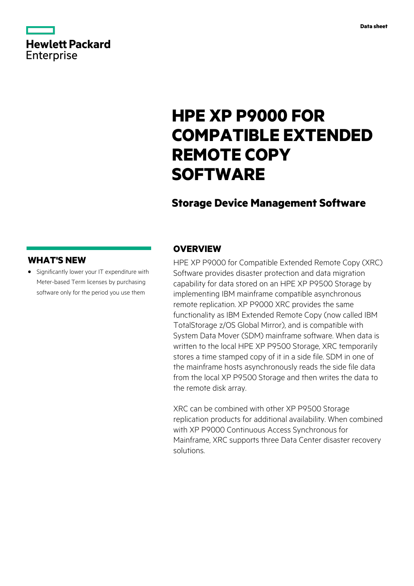# **Hewlett Packard** Enterprise

# **HPE XP P9000 FOR COMPATIBLE EXTENDED REMOTE COPY SOFTWARE**

# **Storage Device Management Software**

### **WHAT'S NEW**

**·** Significantly lower your IT expenditure with Meter-based Term licenses by purchasing software only for the period you use them

### **OVERVIEW**

HPE XP P9000 for Compatible Extended Remote Copy (XRC) Software provides disaster protection and data migration capability for data stored on an HPE XP P9500 Storage by implementing IBM mainframe compatible asynchronous remote replication. XP P9000 XRC provides the same functionality as IBM Extended Remote Copy (now called IBM TotalStorage z/OS Global Mirror), and is compatible with System Data Mover (SDM) mainframe software. When data is written to the local HPE XP P9500 Storage, XRC temporarily stores a time stamped copy of it in a side file. SDM in one of the mainframe hosts asynchronously reads the side file data from the local XP P9500 Storage and then writes the data to the remote disk array.

XRC can be combined with other XP P9500 Storage replication products for additional availability. When combined with XP P9000 Continuous Access Synchronous for Mainframe, XRC supports three Data Center disaster recovery solutions.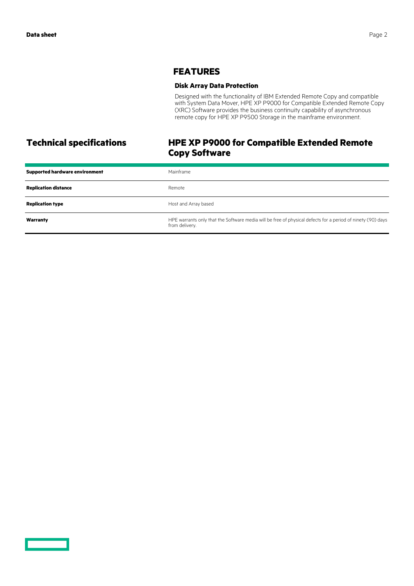### **FEATURES**

### **Disk Array Data Protection**

Designed with the functionality of IBM Extended Remote Copy and compatible with System Data Mover, HPE XP P9000 for Compatible Extended Remote Copy (XRC) Software provides the business continuity capability of asynchronous remote copy for HPE XP P9500 Storage in the mainframe environment.

## **Technical specifications HPE XP P9000 for Compatible Extended Remote Copy Software**

| <b>Supported hardware environment</b> | Mainframe                                                                                                                     |
|---------------------------------------|-------------------------------------------------------------------------------------------------------------------------------|
| <b>Replication distance</b>           | Remote                                                                                                                        |
| <b>Replication type</b>               | Host and Array based                                                                                                          |
| Warranty                              | HPE warrants only that the Software media will be free of physical defects for a period of ninety (90) days<br>from delivery. |